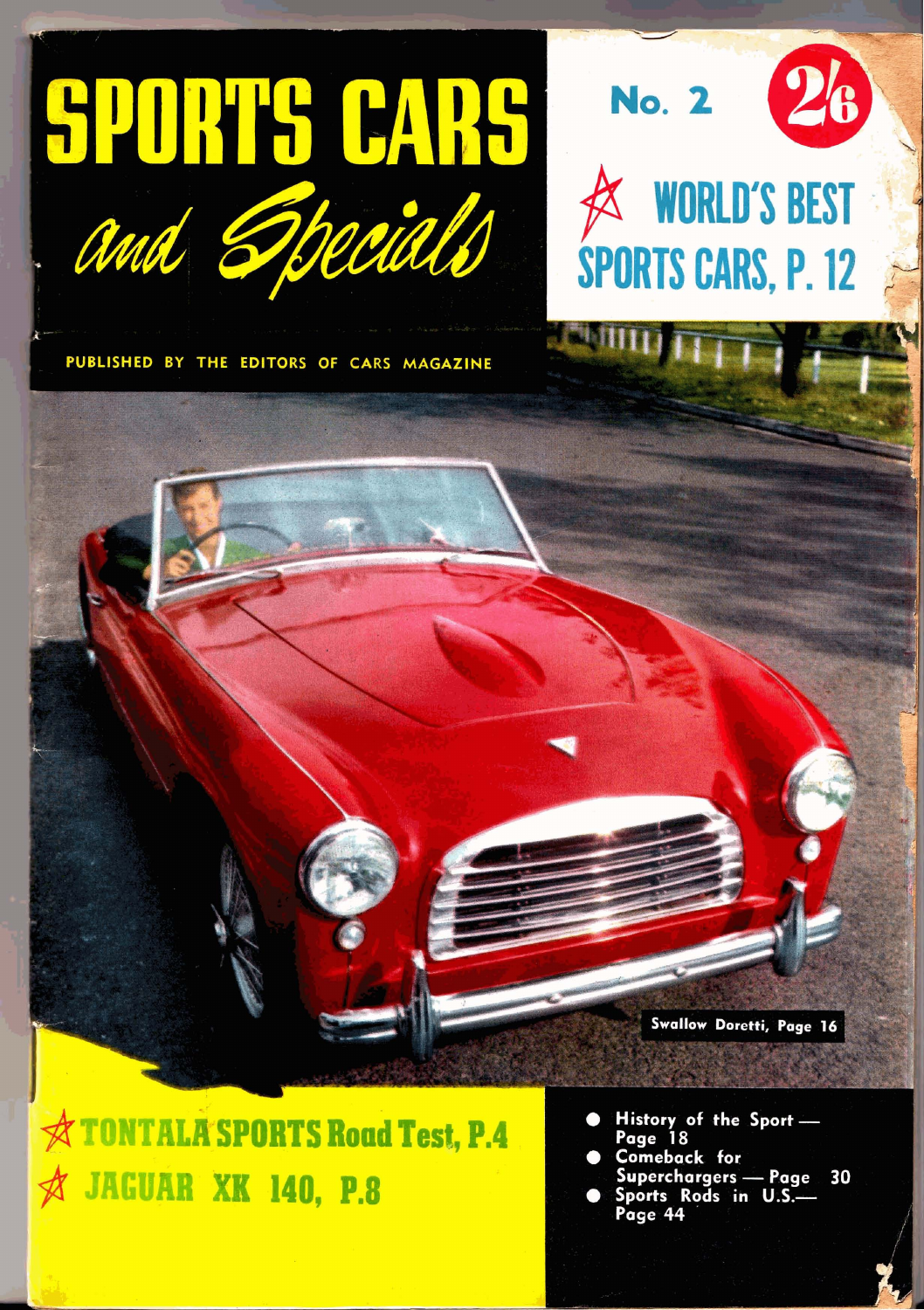



PUBLISHED BY THE EDITORS OF CARS MAGAZINE

Swallow Doretti, Page 16

**TONTALA SPORTS Road Test, P.4 JAGUAR XK 140, P.8** 

- History of the Sport-Page 18
- **Comeback** for
- Superchargers Page<br>Sports Rods in U.S. 30 Page 44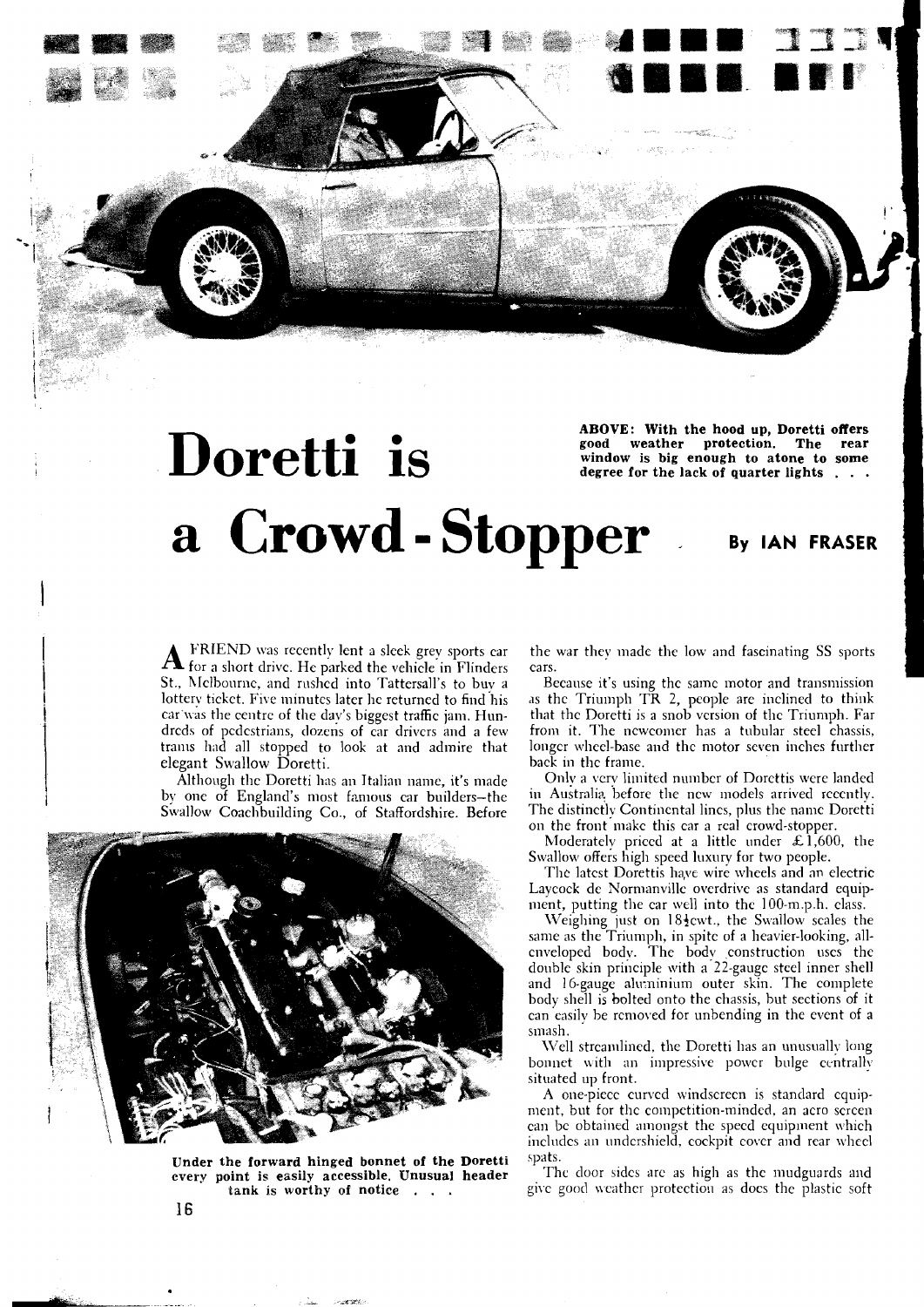

## **ABOVE:** With the hood up, Doretti offers good weather protection. The rear window is big enough to atone to some degree for the lack of quarter lights . . . a Crowd-Stopper By IAN FRASER

**A** FRIEND was recently lent a sleek grey sports car<br>for a short drive. He parked the vehicle in Flinders St., hIclbournc, and rushcd into Tattersall's to buv a lottery ticket. Five minutes later he returned to find his car was the centre of the day's biggest traffic jam. Hundrcds of pcdcstrians, dozens of car drivcrs and a few tranls had all stopped to look at and admire that elegant Swallow Doretti.

Although thc Doretti has an Jtalian name, it's made by one of England's most famous car builders-the Swallow Coachbuilding Co., of Staffordshire. Before



**Under the forward hinged bonnet of the Doretti every point is easily accessible. Unusual header** The door sides are as high as the mudguards and tank is worthy of notice ...

the war they madc the low and fascinating SS sports cars.

Because it's using the same motor and transmission as the Triumph TR 2, people are inclined to think that thc Dorctti is a snob vcrsion of thc Triumph. Far from it. I'he ncwcomer has a tubular steel chassis, longer wheel-base and the motor seven inches further back in the frame.

Only a very limited numbcr of Dorcttis were landed in Australiq before thc ncw models arrived rcccntly. The distinctly Continental lincs, plus the name Doretti on the tront makc this car a real crowd-stopper.

Moderately priced at a little under  $\mathcal{L}$ 1,600, the Swallow offers high speed luxury for two people.

The latest Dorettis have wire wheels and an electric Laycock de Normanville overdrive as standard equipment, putting the car well into thc 100-m.p.h. class.

Weighing just on  $18\frac{1}{2}$ cwt., the Swallow scales the same as the Triumph, in spitc of a heavier-looking, allenveloped body. The body construction uses the double skin principle with a 22-gauge steel inner shell and 16-gauge aluminium outer skin. The complete body shell is bolted onto the chassis, hut sections of it can easily be removed for unbending in the event of a smash.

Well streamlined, the Doretti has an unusually long bonnet with an impressive powcr bulge centrally situated up front.

A one-piece curved windscreen is standard equipment, but for thc competition-minded, an acro scrcen can be obtained amongst the specd equipment which includes an undershield, cockpit cover and rear wheel<br>spats.

give good weather protection as does the plastic soft